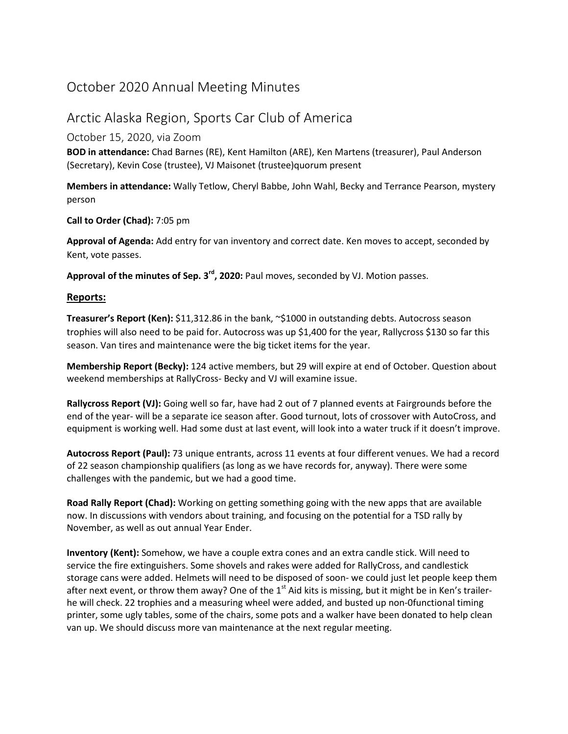## October 2020 Annual Meeting Minutes

## Arctic Alaska Region, Sports Car Club of America

## October 15, 2020, via Zoom

**BOD in attendance:** Chad Barnes (RE), Kent Hamilton (ARE), Ken Martens (treasurer), Paul Anderson (Secretary), Kevin Cose (trustee), VJ Maisonet (trustee)quorum present

**Members in attendance:** Wally Tetlow, Cheryl Babbe, John Wahl, Becky and Terrance Pearson, mystery person

**Call to Order (Chad):** 7:05 pm

**Approval of Agenda:** Add entry for van inventory and correct date. Ken moves to accept, seconded by Kent, vote passes.

**Approval of the minutes of Sep. 3rd, 2020:** Paul moves, seconded by VJ. Motion passes.

## **Reports:**

**Treasurer's Report (Ken):** \$11,312.86 in the bank, ~\$1000 in outstanding debts. Autocross season trophies will also need to be paid for. Autocross was up \$1,400 for the year, Rallycross \$130 so far this season. Van tires and maintenance were the big ticket items for the year.

**Membership Report (Becky):** 124 active members, but 29 will expire at end of October. Question about weekend memberships at RallyCross- Becky and VJ will examine issue.

**Rallycross Report (VJ):** Going well so far, have had 2 out of 7 planned events at Fairgrounds before the end of the year- will be a separate ice season after. Good turnout, lots of crossover with AutoCross, and equipment is working well. Had some dust at last event, will look into a water truck if it doesn't improve.

**Autocross Report (Paul):** 73 unique entrants, across 11 events at four different venues. We had a record of 22 season championship qualifiers (as long as we have records for, anyway). There were some challenges with the pandemic, but we had a good time.

**Road Rally Report (Chad):** Working on getting something going with the new apps that are available now. In discussions with vendors about training, and focusing on the potential for a TSD rally by November, as well as out annual Year Ender.

**Inventory (Kent):** Somehow, we have a couple extra cones and an extra candle stick. Will need to service the fire extinguishers. Some shovels and rakes were added for RallyCross, and candlestick storage cans were added. Helmets will need to be disposed of soon- we could just let people keep them after next event, or throw them away? One of the  $1<sup>st</sup>$  Aid kits is missing, but it might be in Ken's trailerhe will check. 22 trophies and a measuring wheel were added, and busted up non-0functional timing printer, some ugly tables, some of the chairs, some pots and a walker have been donated to help clean van up. We should discuss more van maintenance at the next regular meeting.